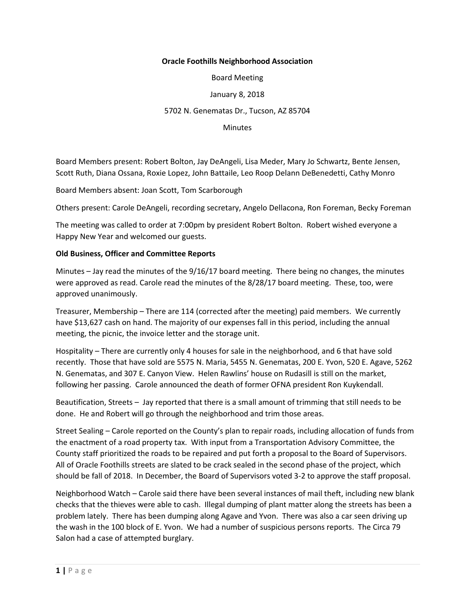## **Oracle Foothills Neighborhood Association**

Board Meeting

January 8, 2018

## 5702 N. Genematas Dr., Tucson, AZ 85704

**Minutes** 

Board Members present: Robert Bolton, Jay DeAngeli, Lisa Meder, Mary Jo Schwartz, Bente Jensen, Scott Ruth, Diana Ossana, Roxie Lopez, John Battaile, Leo Roop Delann DeBenedetti, Cathy Monro

Board Members absent: Joan Scott, Tom Scarborough

Others present: Carole DeAngeli, recording secretary, Angelo Dellacona, Ron Foreman, Becky Foreman

The meeting was called to order at 7:00pm by president Robert Bolton. Robert wished everyone a Happy New Year and welcomed our guests.

## **Old Business, Officer and Committee Reports**

Minutes – Jay read the minutes of the 9/16/17 board meeting. There being no changes, the minutes were approved as read. Carole read the minutes of the 8/28/17 board meeting. These, too, were approved unanimously.

Treasurer, Membership – There are 114 (corrected after the meeting) paid members. We currently have \$13,627 cash on hand. The majority of our expenses fall in this period, including the annual meeting, the picnic, the invoice letter and the storage unit.

Hospitality – There are currently only 4 houses for sale in the neighborhood, and 6 that have sold recently. Those that have sold are 5575 N. Maria, 5455 N. Genematas, 200 E. Yvon, 520 E. Agave, 5262 N. Genematas, and 307 E. Canyon View. Helen Rawlins' house on Rudasill is still on the market, following her passing. Carole announced the death of former OFNA president Ron Kuykendall.

Beautification, Streets – Jay reported that there is a small amount of trimming that still needs to be done. He and Robert will go through the neighborhood and trim those areas.

Street Sealing – Carole reported on the County's plan to repair roads, including allocation of funds from the enactment of a road property tax. With input from a Transportation Advisory Committee, the County staff prioritized the roads to be repaired and put forth a proposal to the Board of Supervisors. All of Oracle Foothills streets are slated to be crack sealed in the second phase of the project, which should be fall of 2018. In December, the Board of Supervisors voted 3-2 to approve the staff proposal.

Neighborhood Watch – Carole said there have been several instances of mail theft, including new blank checks that the thieves were able to cash. Illegal dumping of plant matter along the streets has been a problem lately. There has been dumping along Agave and Yvon. There was also a car seen driving up the wash in the 100 block of E. Yvon. We had a number of suspicious persons reports. The Circa 79 Salon had a case of attempted burglary.